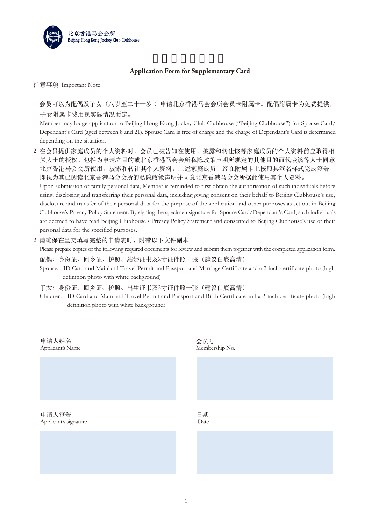

## **Application Form for Supplementary Card**

注意事项 Important Note

1. 会员可以为配偶及子女(八岁至二十一岁) 申请北京香港马会会所会员卡附属卡。配偶附属卡为免费提供, 子女附属卡费用视实际情况而定。

 Member may lodge application to Beijing Hong Kong Jockey Club Clubhouse ("Beijing Clubhouse") for Spouse Card/ Dependant's Card (aged between 8 and 21). Spouse Card is free of charge and the charge of Dependant's Card is determined depending on the situation.

2. 在会员提供家庭成员的个人资料时,会员已被告知在使用、披露和转让该等家庭成员的个人资料前应取得相 关人士的授权,包括为申请之目的或北京香港马会会所私隐政策声明所规定的其他目的而代表该等人士同意 北京香港马会会所使用、披露和转让其个人资料。上述家庭成员一经在附属卡上按照其签名样式完成签署, 即视为其已阅读北京香港马会会所的私隐政策声明并同意北京香港马会会所据此使用其个人资料。 Upon submission of family personal data, Member is reminded to first obtain the authorisation of such individuals before

 using, disclosing and transferring their personal data, including giving consent on their behalf to Beijing Clubhouse's use, disclosure and transfer of their personal data for the purpose of the application and other purposes as set out in Beijing Clubhouse's Privacy Policy Statement. By signing the specimen signature for Spouse Card/Dependant's Card, such individuals are deemed to have read Beijing Clubhouse's Privacy Policy Statement and consented to Beijing Clubhouse's use of their personal data for the specified purposes.

3. 请确保在呈交填写完整的申请表时,附带以下文件副本。

Please prepare copies of the following required documents for review and submit them together with the completed application form.

配偶: 身份证、回乡证、护照、结婚证书及2寸证件照一张(建议白底高清)

 Spouse: ID Card and Mainland Travel Permit and Passport and Marriage Certificate and a 2-inch certificate photo (high definition photo with white background)

子女:身份证、回乡证、护照、出生证书及2寸证件照一张(建议白底高清)

 Children: ID Card and Mainland Travel Permit and Passport and Birth Certificate and a 2-inch certificate photo (high definition photo with white background)

申请人姓名 Applicant's Name

申请人签署 Applicant's signature

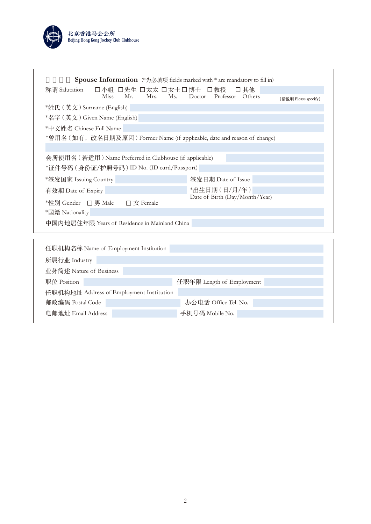

| <b>Spouse Information</b> (*为必填项 fields marked with * are mandatory to fill in)<br>称谓 Salutation<br>Miss Mr. | 口小姐 口先生 口太太 口女士口博士 口教授<br>Ms.<br>Mrs. | Doctor Professor               | □ 其他<br>Others |                      |  |  |
|--------------------------------------------------------------------------------------------------------------|---------------------------------------|--------------------------------|----------------|----------------------|--|--|
|                                                                                                              |                                       |                                |                | (请说明 Please specify) |  |  |
| *姓氏 (英文) Surname (English)                                                                                   |                                       |                                |                |                      |  |  |
| *名字 (英文) Given Name (English)                                                                                |                                       |                                |                |                      |  |  |
| *中文姓名 Chinese Full Name                                                                                      |                                       |                                |                |                      |  |  |
| *曾用名 ( 如有, 改名日期及原因 ) Former Name (if applicable, date and reason of change)                                  |                                       |                                |                |                      |  |  |
|                                                                                                              |                                       |                                |                |                      |  |  |
| 会所使用名 (若适用) Name Preferred in Clubhouse (if applicable)<br>*证件号码 (身份证/护照号码) ID No. (ID card/Passport)        |                                       |                                |                |                      |  |  |
| *签发国家 Issuing Country                                                                                        |                                       | 签发日期 Date of Issue             |                |                      |  |  |
| 有效期 Date of Expiry                                                                                           |                                       | *出生日期(日/月/年)                   |                |                      |  |  |
| <sup>★</sup> 性别 Gender □男 Male                                                                               | $\square$ 女 Female                    | Date of Birth (Day/Month/Year) |                |                      |  |  |
| *国籍 Nationality                                                                                              |                                       |                                |                |                      |  |  |
| 中国内地居住年限 Years of Residence in Mainland China                                                                |                                       |                                |                |                      |  |  |
| 任职机构名称 Name of Employment Institution                                                                        |                                       |                                |                |                      |  |  |
| 所属行业 Industry                                                                                                |                                       |                                |                |                      |  |  |

| 7217两个J 业 11100301 y    |                                          |                           |  |
|-------------------------|------------------------------------------|---------------------------|--|
| 业务简述 Nature of Business |                                          |                           |  |
| 职位 Position             |                                          | 任职年限 Length of Employment |  |
|                         | 任职机构地址 Address of Employment Institution |                           |  |
| 邮政编码 Postal Code        |                                          | 办公电话 Office Tel. No.      |  |
| 电邮地址 Email Address      |                                          | 手机号码 Mobile No.           |  |